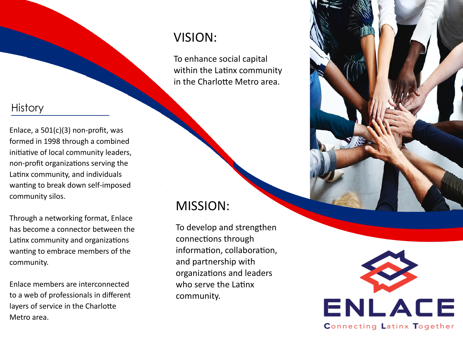#### **History**

Enlace, a 501(c)(3) non-profit, was formed in 1998 through a combined initiative of local community leaders, non-profit organizations serving the Latinx community, and individuals wanting to break down self-imposed community silos.

Through a networking format, Enlace has become a connector between the Latinx community and organizations wanting to embrace members of the community.

Enlace members are interconnected to a web of professionals in different layers of service in the Charlotte Metro area.

# VISION:

To enhance social capital within the Latinx community in the Charlotte Metro area.

### MISSION:

To develop and strengthen connections through information, collaboration, and partnership with organizations and leaders who serve the Latinx community.